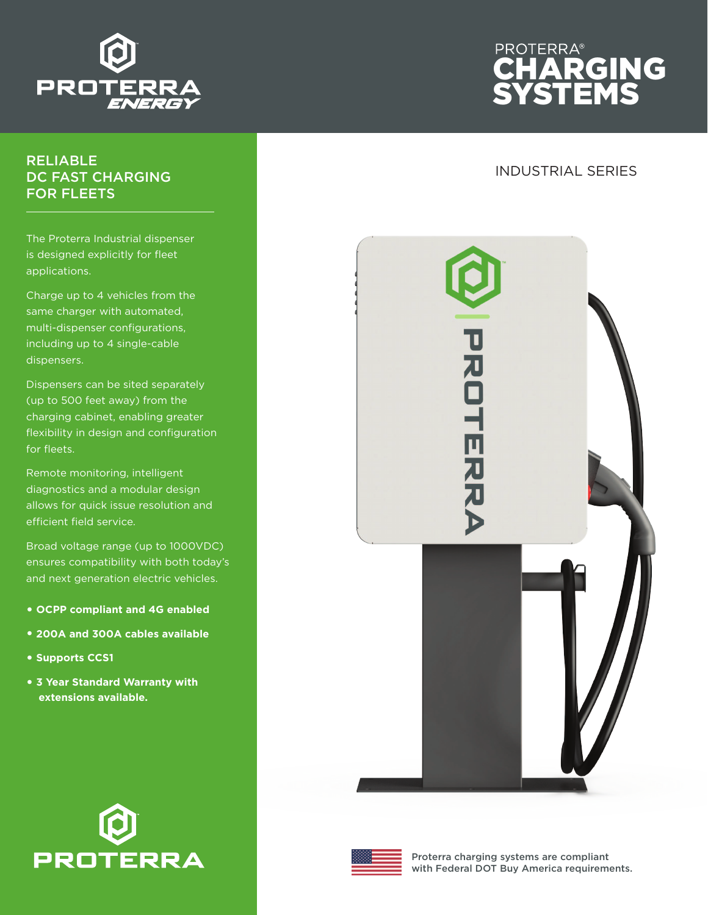

## RELIABLE DC FAST CHARGING FOR FLEETS

The Proterra Industrial dispenser is designed explicitly for fleet applications.

Charge up to 4 vehicles from the same charger with automated, multi-dispenser configurations, including up to 4 single-cable dispensers.

Dispensers can be sited separately (up to 500 feet away) from the charging cabinet, enabling greater flexibility in design and configuration for fleets.

Remote monitoring, intelligent diagnostics and a modular design allows for quick issue resolution and efficient field service.

Broad voltage range (up to 1000VDC) ensures compatibility with both today's and next generation electric vehicles.

- **• OCPP compliant and 4G enabled**
- **• 200A and 300A cables available**
- **• Supports CCS1**
- **• 3 Year Standard Warranty with extensions available.**





## INDUSTRIAL SERIES





Proterra charging systems are compliant with Federal DOT Buy America requirements.